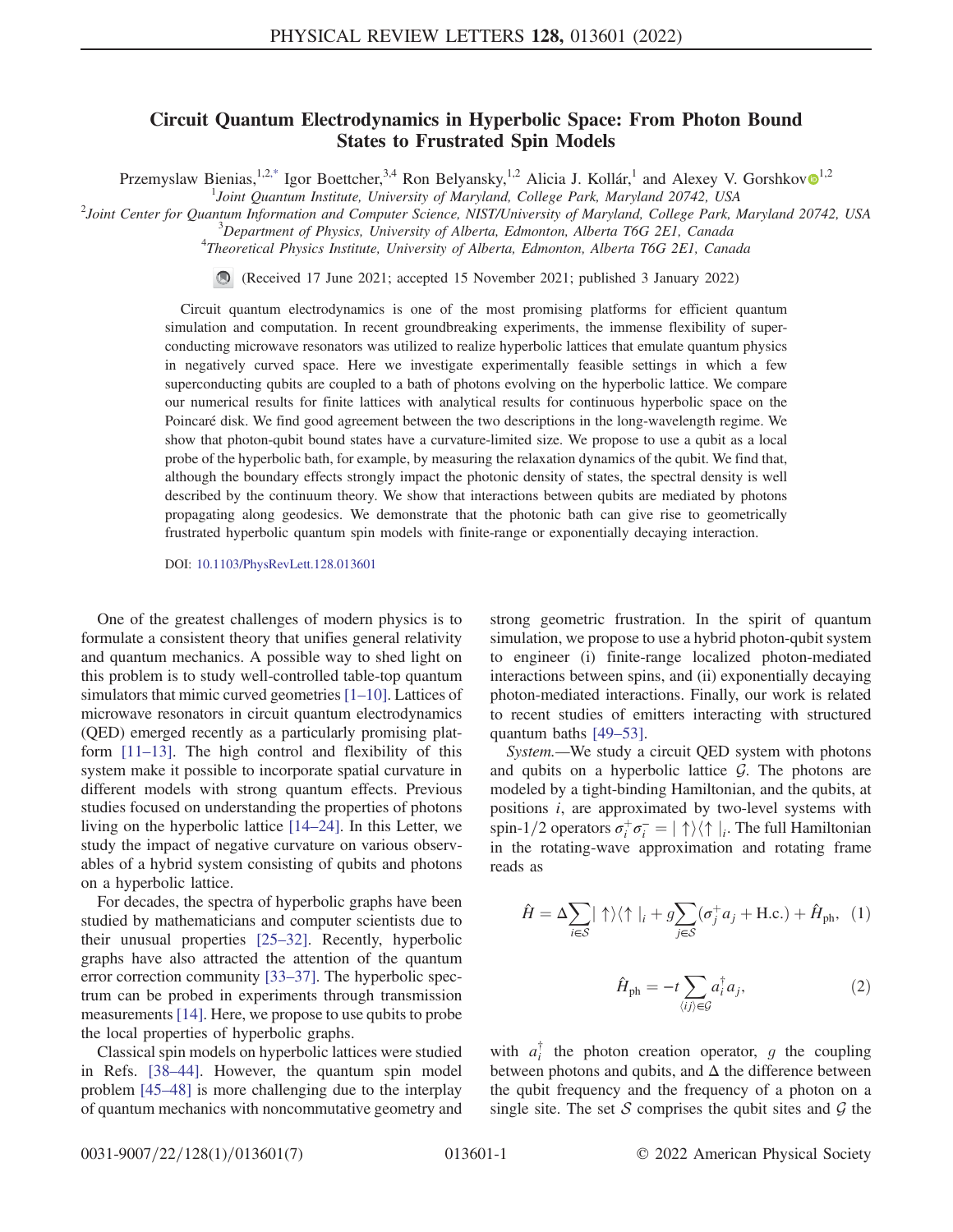## Circuit Quantum Electrodynamics in Hyperbolic Space: From Photon Bound States to Frustrated Spin Models

Przemyslaw Bienias,<sup>1,2[,\\*](#page-4-0)</sup> Igor Boettcher,<sup>3,4</sup> Ron Belyansky,<sup>[1](https://orcid.org/0000-0003-0509-3421),2</sup> Alicia J. Kollár,<sup>1</sup> and Alexey V. Gorshkov $\Phi$ <sup>1,2</sup>

<span id="page-0-0"></span><sup>1</sup> Joint Quantum Institute, University of Maryland, College Park, Maryland 20742, USA<br><sup>2</sup> Joint Center for Quantum Information and Computer Science, NISTA Injugration of Maryland, College Park, N

 $\alpha^2$ Joint Center for Quantum Information and Computer Science, NIST/University of Maryland, College Park, Maryland 20742, USA

 $3$ Department of Physics, University of Alberta, Edmonton, Alberta T6G 2E1, Canada

 ${}^{4}$ Theoretical Physics Institute, University of Alberta, Edmonton, Alberta T6G 2E1, Canada

(Received 17 June 2021; accepted 15 November 2021; published 3 January 2022)

Circuit quantum electrodynamics is one of the most promising platforms for efficient quantum simulation and computation. In recent groundbreaking experiments, the immense flexibility of superconducting microwave resonators was utilized to realize hyperbolic lattices that emulate quantum physics in negatively curved space. Here we investigate experimentally feasible settings in which a few superconducting qubits are coupled to a bath of photons evolving on the hyperbolic lattice. We compare our numerical results for finite lattices with analytical results for continuous hyperbolic space on the Poincaré disk. We find good agreement between the two descriptions in the long-wavelength regime. We show that photon-qubit bound states have a curvature-limited size. We propose to use a qubit as a local probe of the hyperbolic bath, for example, by measuring the relaxation dynamics of the qubit. We find that, although the boundary effects strongly impact the photonic density of states, the spectral density is well described by the continuum theory. We show that interactions between qubits are mediated by photons propagating along geodesics. We demonstrate that the photonic bath can give rise to geometrically frustrated hyperbolic quantum spin models with finite-range or exponentially decaying interaction.

DOI: [10.1103/PhysRevLett.128.013601](https://doi.org/10.1103/PhysRevLett.128.013601)

One of the greatest challenges of modern physics is to formulate a consistent theory that unifies general relativity and quantum mechanics. A possible way to shed light on this problem is to study well-controlled table-top quantum simulators that mimic curved geometries [[1](#page-4-1)–[10\]](#page-5-0). Lattices of microwave resonators in circuit quantum electrodynamics (QED) emerged recently as a particularly promising platform [\[11](#page-5-1)–[13](#page-5-2)]. The high control and flexibility of this system make it possible to incorporate spatial curvature in different models with strong quantum effects. Previous studies focused on understanding the properties of photons living on the hyperbolic lattice [[14](#page-5-3)–[24](#page-5-4)]. In this Letter, we study the impact of negative curvature on various observables of a hybrid system consisting of qubits and photons on a hyperbolic lattice.

For decades, the spectra of hyperbolic graphs have been studied by mathematicians and computer scientists due to their unusual properties [\[25](#page-5-5)–[32](#page-5-6)]. Recently, hyperbolic graphs have also attracted the attention of the quantum error correction community [[33](#page-5-7)–[37\]](#page-5-8). The hyperbolic spectrum can be probed in experiments through transmission measurements [[14](#page-5-3)]. Here, we propose to use qubits to probe the local properties of hyperbolic graphs.

Classical spin models on hyperbolic lattices were studied in Refs. [[38](#page-5-9)–[44\]](#page-5-10). However, the quantum spin model problem [[45](#page-5-11)–[48\]](#page-6-0) is more challenging due to the interplay of quantum mechanics with noncommutative geometry and strong geometric frustration. In the spirit of quantum simulation, we propose to use a hybrid photon-qubit system to engineer (i) finite-range localized photon-mediated interactions between spins, and (ii) exponentially decaying photon-mediated interactions. Finally, our work is related to recent studies of emitters interacting with structured quantum baths [\[49](#page-6-1)–[53](#page-6-2)].

System.—We study a circuit QED system with photons and qubits on a hyperbolic lattice  $G$ . The photons are modeled by a tight-binding Hamiltonian, and the qubits, at positions i, are approximated by two-level systems with spin-1/2 operators  $\sigma_i^+ \sigma_i^- = |\uparrow\rangle\langle\uparrow|_i$ . The full Hamiltonian<br>in the rotating-wave approximation and rotating frame in the rotating-wave approximation and rotating frame reads as

$$
\hat{H} = \Delta \sum_{i \in S} |\uparrow\rangle\langle\uparrow|_i + g \sum_{j \in S} (\sigma_j^+ a_j + \text{H.c.}) + \hat{H}_{\text{ph}}, \tag{1}
$$

$$
\hat{H}_{\text{ph}} = -t \sum_{\langle ij \rangle \in \mathcal{G}} a_i^{\dagger} a_j,\tag{2}
$$

with  $a_i^{\dagger}$  the photon creation operator, g the coupling between photons and qubits, and  $\Delta$  the difference between the qubit frequency and the frequency of a photon on a single site. The set S comprises the qubit sites and  $\mathcal G$  the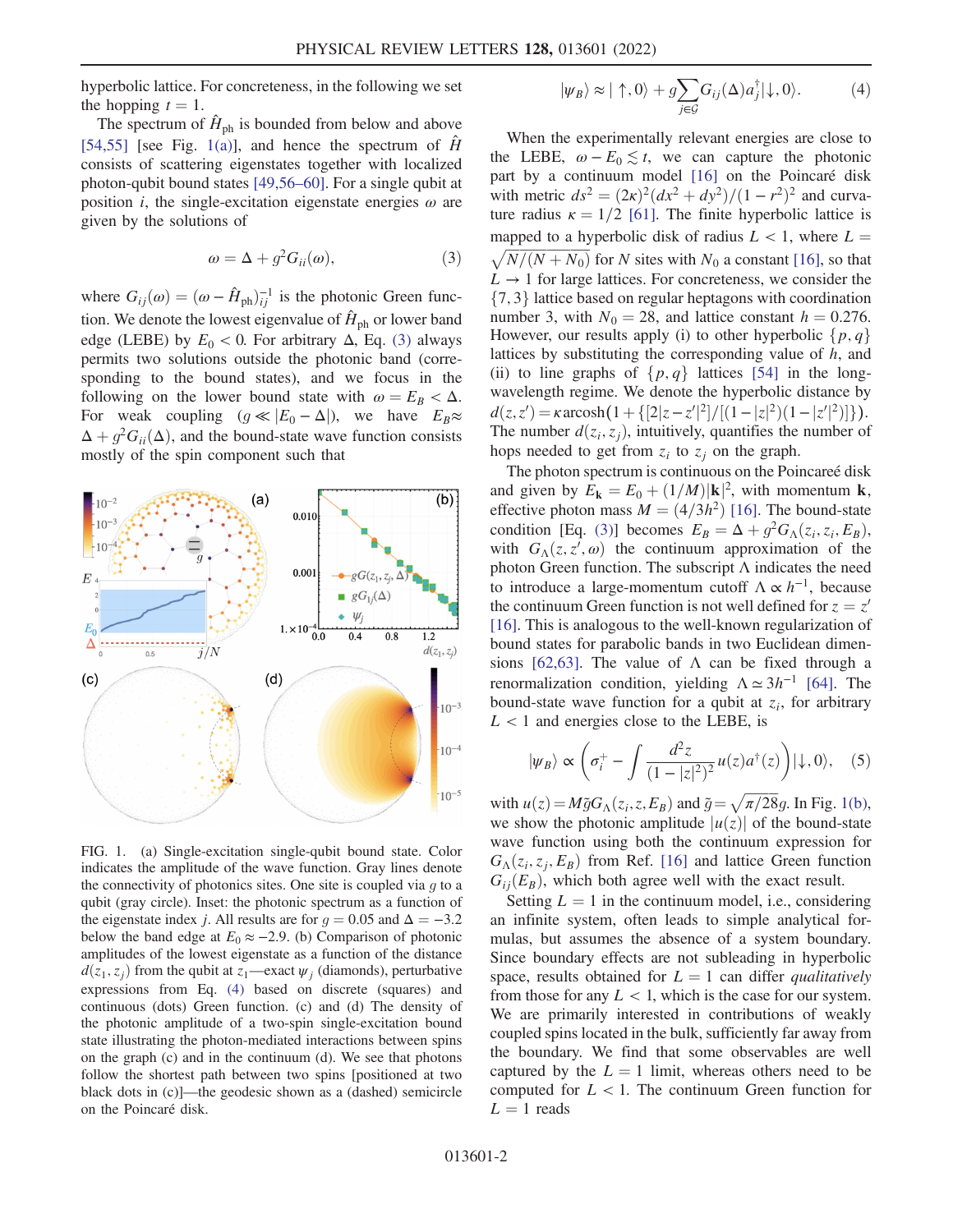hyperbolic lattice. For concreteness, in the following we set the hopping  $t = 1$ .

The spectrum of  $\hat{H}_{\text{ph}}$  is bounded from below and above [\[54](#page-6-3)[,55\]](#page-6-4) [see Fig. [1\(a\)](#page-1-0)], and hence the spectrum of  $\hat{H}$ consists of scattering eigenstates together with localized photon-qubit bound states [\[49,](#page-6-1)[56](#page-6-5)–[60](#page-6-6)]. For a single qubit at position *i*, the single-excitation eigenstate energies  $\omega$  are given by the solutions of

$$
\omega = \Delta + g^2 G_{ii}(\omega),\tag{3}
$$

<span id="page-1-1"></span>where  $G_{ij}(\omega) = (\omega - \hat{H}_{ph})_{ij}^{-1}$  is the photonic Green function. We denote the lowest eigenvalue of  $\hat{H}_{\text{ph}}$  or lower band edge (LEBE) by  $E_0 < 0$ . For arbitrary  $\Delta$ , Eq. [\(3\)](#page-1-1) always permits two solutions outside the photonic band (corresponding to the bound states), and we focus in the following on the lower bound state with  $\omega = E_B < \Delta$ . For weak coupling  $(g \ll |E_0 - \Delta|)$ , we have  $E_B \approx$  $\Delta + g^2 G_{ii}(\Delta)$ , and the bound-state wave function consists mostly of the spin component such that

<span id="page-1-2"></span><span id="page-1-0"></span>

FIG. 1. (a) Single-excitation single-qubit bound state. Color indicates the amplitude of the wave function. Gray lines denote the connectivity of photonics sites. One site is coupled via  $q$  to a qubit (gray circle). Inset: the photonic spectrum as a function of the eigenstate index j. All results are for  $g = 0.05$  and  $\Delta = -3.2$ below the band edge at  $E_0 \approx -2.9$ . (b) Comparison of photonic amplitudes of the lowest eigenstate as a function of the distance  $d(z_1, z_i)$  from the qubit at  $z_1$ —exact  $\psi_i$  (diamonds), perturbative expressions from Eq. [\(4\)](#page-1-2) based on discrete (squares) and continuous (dots) Green function. (c) and (d) The density of the photonic amplitude of a two-spin single-excitation bound state illustrating the photon-mediated interactions between spins on the graph (c) and in the continuum (d). We see that photons follow the shortest path between two spins [positioned at two black dots in (c)]—the geodesic shown as a (dashed) semicircle on the Poincaré disk.

$$
|\psi_B\rangle \approx |\uparrow, 0\rangle + g \sum_{j \in \mathcal{G}} G_{ij}(\Delta) a_j^{\dagger} |\downarrow, 0\rangle. \tag{4}
$$

When the experimentally relevant energies are close to the LEBE,  $\omega - E_0 \lesssim t$ , we can capture the photonic part by a continuum model [\[16\]](#page-5-12) on the Poincaré disk with metric  $ds^2 = (2\kappa)^2 (dx^2 + dy^2)/(1 - r^2)^2$  and curvature radius  $\kappa = 1/2$  [\[61\]](#page-6-7). The finite hyperbolic lattice is mapped to a hyperbolic disk of radius  $L < 1$ , where  $L =$  $\sqrt{N/(N+N_0)}$  for N sites with N<sub>0</sub> a constant [\[16\]](#page-5-12), so that  $L \rightarrow 1$  for large lattices. For concreteness, we consider the  $\{7, 3\}$  lattice based on regular heptagons with coordination number 3, with  $N_0 = 28$ , and lattice constant  $h = 0.276$ . However, our results apply (i) to other hyperbolic  $\{p, q\}$ lattices by substituting the corresponding value of  $h$ , and (ii) to line graphs of  $\{p, q\}$  lattices [[54](#page-6-3)] in the longwavelength regime. We denote the hyperbolic distance by  $d(z, z') = \kappa \arccosh(1 + \{[2|z-z'|^2]/[(1-|z|^2)(1-|z'|^2)]\}).$ <br>The number  $d(z, z_1)$  intuitively quantifies the number of The number  $d(z_i, z_j)$ , intuitively, quantifies the number of<br>hope needed to get from z, to z, on the graph hops needed to get from  $z_i$  to  $z_j$  on the graph.

The photon spectrum is continuous on the Poincareé disk and given by  $E_{\mathbf{k}} = E_0 + (1/M)|\mathbf{k}|^2$ , with momentum **k**,<br>effective photon mass  $M = (A/3h^2)$  [16]. The bound-state effective photon mass  $M = (4/3h^2)$  [[16](#page-5-12)]. The bound-state condition [Eq. [\(3\)](#page-1-1)] becomes  $E_B = \Delta + g^2 G_{\Lambda}(z_i, z_i, E_B)$ , with  $G_{\Lambda}(z, z', \omega)$  the continuum approximation of the photon Green function. The subscript  $\Lambda$  indicates the need photon Green function. The subscript  $\Lambda$  indicates the need to introduce a large-momentum cutoff  $\Lambda \propto h^{-1}$ , because the continuum Green function is not well defined for  $z = z'$ [\[16\]](#page-5-12). This is analogous to the well-known regularization of bound states for parabolic bands in two Euclidean dimen-sions [\[62](#page-6-8)[,63\]](#page-6-9). The value of  $\Lambda$  can be fixed through a renormalization condition, yielding  $\Lambda \simeq 3h^{-1}$  [[64](#page-6-10)]. The bound-state wave function for a qubit at  $z_i$ , for arbitrary  $L < 1$  and energies close to the LEBE, is

$$
|\psi_B\rangle \propto \left(\sigma_i^+ - \int \frac{d^2z}{(1-|z|^2)^2} u(z)a^\dagger(z)\right)|\downarrow,0\rangle, \quad (5)
$$

with  $u(z) = M\tilde{g}G_{\Lambda}(z_i, z, E_B)$  and  $\tilde{g} = \sqrt{\pi/28}g$ . In Fig. [1\(b\)](#page-1-0),<br>we show the photonic amplitude  $|u(z)|$  of the bound-state we show the photonic amplitude  $|u(z)|$  of the bound-state wave function using both the continuum expression for  $G_{\Lambda}(z_i, z_j, E_B)$  from Ref. [\[16](#page-5-12)] and lattice Green function  $G_{ii}(E_B)$ , which both agree well with the exact result.

Setting  $L = 1$  in the continuum model, i.e., considering an infinite system, often leads to simple analytical formulas, but assumes the absence of a system boundary. Since boundary effects are not subleading in hyperbolic space, results obtained for  $L = 1$  can differ *qualitatively* from those for any  $L < 1$ , which is the case for our system. We are primarily interested in contributions of weakly coupled spins located in the bulk, sufficiently far away from the boundary. We find that some observables are well captured by the  $L = 1$  limit, whereas others need to be computed for  $L < 1$ . The continuum Green function for  $L = 1$  reads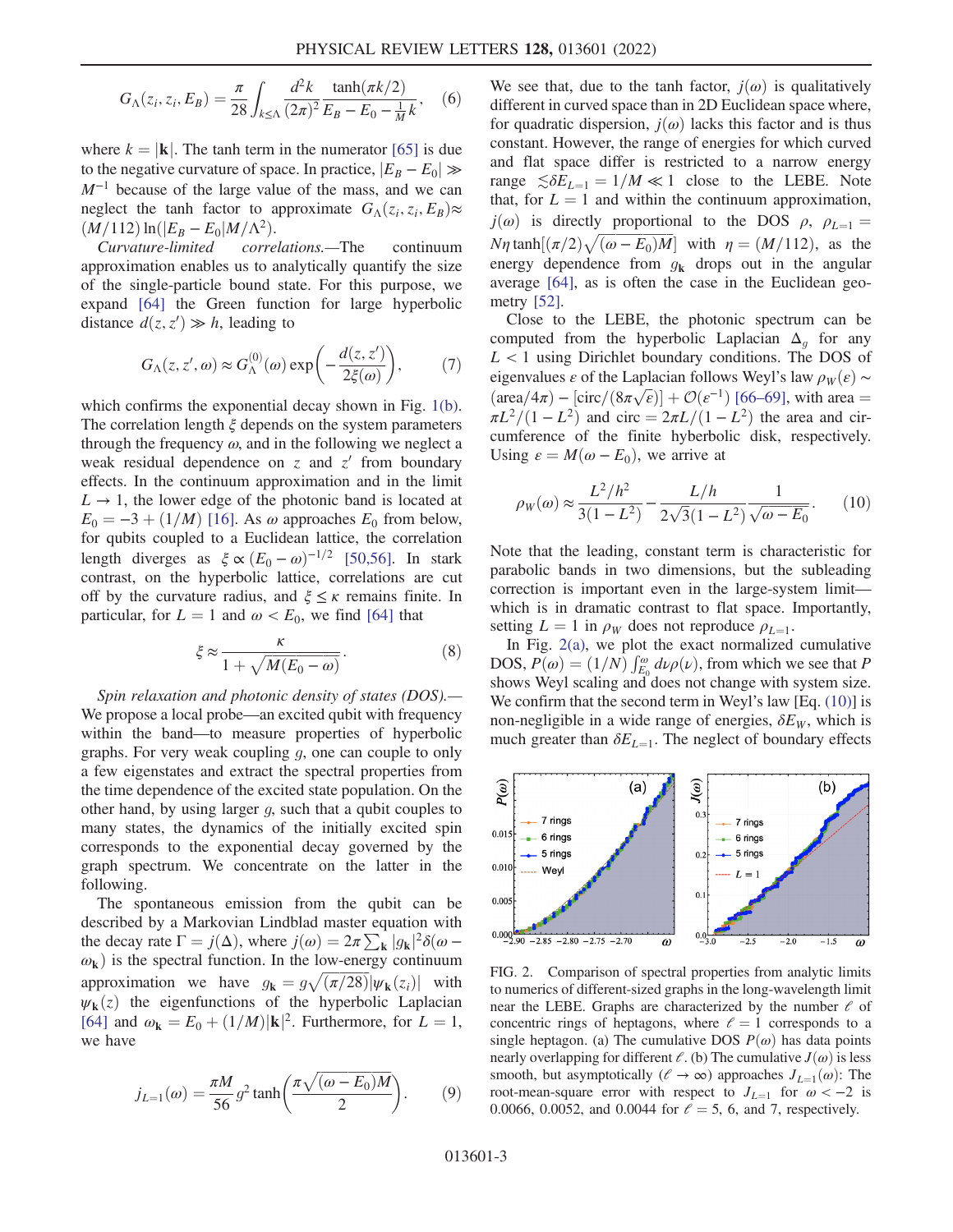$$
G_{\Lambda}(z_i, z_i, E_B) = \frac{\pi}{28} \int_{k \le \Lambda} \frac{d^2 k}{(2\pi)^2} \frac{\tanh(\pi k/2)}{E_B - E_0 - \frac{1}{M}k}, \quad (6)
$$

where  $k = |\mathbf{k}|$ . The tanh term in the numerator [\[65\]](#page-6-11) is due to the negative curvature of space. In practice,  $|E_B - E_0| \gg$  $M^{-1}$  because of the large value of the mass, and we can neglect the tanh factor to approximate  $G_{\Lambda}(z_i, z_i, E_B) \approx$  $(M/112) \ln(|E_B - E_0|M/\Lambda^2)$ .<br>Curvature-limited correl

<span id="page-2-2"></span>correlations.—The continuum approximation enables us to analytically quantify the size of the single-particle bound state. For this purpose, we expand [\[64\]](#page-6-10) the Green function for large hyperbolic distance  $d(z, z') \gg h$ , leading to

$$
G_{\Lambda}(z, z', \omega) \approx G_{\Lambda}^{(0)}(\omega) \exp\left(-\frac{d(z, z')}{2\xi(\omega)}\right),\tag{7}
$$

which confirms the exponential decay shown in Fig. [1\(b\)](#page-1-0). The correlation length  $\xi$  depends on the system parameters through the frequency  $\omega$ , and in the following we neglect a weak residual dependence on  $z$  and  $z'$  from boundary effects. In the continuum approximation and in the limit  $L \rightarrow 1$ , the lower edge of the photonic band is located at  $E_0 = -3 + (1/M)$  [[16](#page-5-12)]. As  $\omega$  approaches  $E_0$  from below, for qubits coupled to a Euclidean lattice, the correlation length diverges as  $\xi \propto (E_0 - \omega)^{-1/2}$  [[50](#page-6-12),[56](#page-6-5)]. In stark contrast, on the hyperbolic lattice, correlations are cut off by the curvature radius, and  $\xi \leq \kappa$  remains finite. In particular, for  $L = 1$  and  $\omega < E_0$ , we find [\[64\]](#page-6-10) that

$$
\xi \approx \frac{\kappa}{1 + \sqrt{M(E_0 - \omega)}}.\tag{8}
$$

Spin relaxation and photonic density of states (DOS).— We propose a local probe—an excited qubit with frequency within the band—to measure properties of hyperbolic graphs. For very weak coupling g, one can couple to only a few eigenstates and extract the spectral properties from the time dependence of the excited state population. On the other hand, by using larger g, such that a qubit couples to many states, the dynamics of the initially excited spin corresponds to the exponential decay governed by the graph spectrum. We concentrate on the latter in the following.

The spontaneous emission from the qubit can be described by a Markovian Lindblad master equation with the decay rate  $\Gamma = j(\Delta)$ , where  $j(\omega) = 2\pi \sum_{\mathbf{k}} |g_{\mathbf{k}}|^2 \delta(\omega - \omega)$  is the spectral function. In the low-energy continuum  $\omega_{\mathbf{k}}$ ) is the spectral function. In the low-energy continuum approximation we have  $g_{\mathbf{k}} = g \sqrt{(\pi/28)} |\psi_{\mathbf{k}}(z_i)|$  with  $\psi_{\mathbf{k}}(z_i)$  the eigenfunctions of the hyperbolic I antecian  $\psi_{\mathbf{k}}(z)$  the eigenfunctions of the hyperbolic Laplacian [\[64\]](#page-6-10) and  $\omega_{\mathbf{k}} = E_0 + (1/M)|\mathbf{k}|^2$ . Furthermore, for  $L = 1$ , we have we have

$$
j_{L=1}(\omega) = \frac{\pi M}{56} g^2 \tanh\left(\frac{\pi \sqrt{(\omega - E_0)M}}{2}\right). \tag{9}
$$

We see that, due to the tanh factor,  $j(\omega)$  is qualitatively different in curved space than in 2D Euclidean space where, for quadratic dispersion,  $j(\omega)$  lacks this factor and is thus constant. However, the range of energies for which curved and flat space differ is restricted to a narrow energy range  $\leq \delta E_{L=1} = 1/M \ll 1$  close to the LEBE. Note that, for  $L = 1$  and within the continuum approximation,  $j(\omega)$  is directly proportional to the DOS  $\rho$ ,  $\rho_{L=1}$  =  $N\eta$  tanh $[(\pi/2)\sqrt{(\omega - E_0)M}]$  with  $\eta = (M/112)$ , as the energy dependence from  $g_k$  drops out in the angular average [[64](#page-6-10)], as is often the case in the Euclidean geometry [\[52\]](#page-6-13).

Close to the LEBE, the photonic spectrum can be computed from the hyperbolic Laplacian  $\Delta_q$  for any  $L < 1$  using Dirichlet boundary conditions. The DOS of eigenvalues  $\varepsilon$  of the Laplacian follows Weyl's law  $\rho_W(\varepsilon) \sim$  $\left(\frac{\text{area}}{4\pi}\right) - \left[\text{circ}/\left(8\pi\sqrt{\epsilon}\right)\right] + \mathcal{O}(\epsilon^{-1})$  [[66](#page-6-14)–[69\]](#page-6-15), with area =  $\pi L^2/(1 - L^2)$  and circ =  $2\pi L/(1 - L^2)$  the area and circumference of the finite hyberbolic disk, respectively. Using  $\varepsilon = M(\omega - E_0)$ , we arrive at

<span id="page-2-1"></span>
$$
\rho_W(\omega) \approx \frac{L^2/h^2}{3(1 - L^2)} - \frac{L/h}{2\sqrt{3}(1 - L^2)} \frac{1}{\sqrt{\omega - E_0}}.\tag{10}
$$

Note that the leading, constant term is characteristic for parabolic bands in two dimensions, but the subleading correction is important even in the large-system limit which is in dramatic contrast to flat space. Importantly, setting  $L = 1$  in  $\rho_W$  does not reproduce  $\rho_{L=1}$ .

In Fig.  $2(a)$ , we plot the exact normalized cumulative DOS,  $P(\omega) = (1/N) \int_{E_0}^{\omega} d\nu \rho(\nu)$ , from which we see that P<br>shows Weyl scaling and does not change with system size shows Weyl scaling and does not change with system size. We confirm that the second term in Weyl's law [Eq. [\(10\)](#page-2-1)] is non-negligible in a wide range of energies,  $\delta E_W$ , which is much greater than  $\delta E_{L=1}$ . The neglect of boundary effects

<span id="page-2-0"></span>

FIG. 2. Comparison of spectral properties from analytic limits to numerics of different-sized graphs in the long-wavelength limit near the LEBE. Graphs are characterized by the number  $\ell$  of concentric rings of heptagons, where  $l = 1$  corresponds to a single heptagon. (a) The cumulative DOS  $P(\omega)$  has data points nearly overlapping for different  $\ell$ . (b) The cumulative  $J(\omega)$  is less smooth, but asymptotically ( $\ell \to \infty$ ) approaches  $J_{L=1}(\omega)$ : The root-mean-square error with respect to  $J_{L=1}$  for  $\omega < -2$  is 0.0066, 0.0052, and 0.0044 for  $\ell = 5$ , 6, and 7, respectively.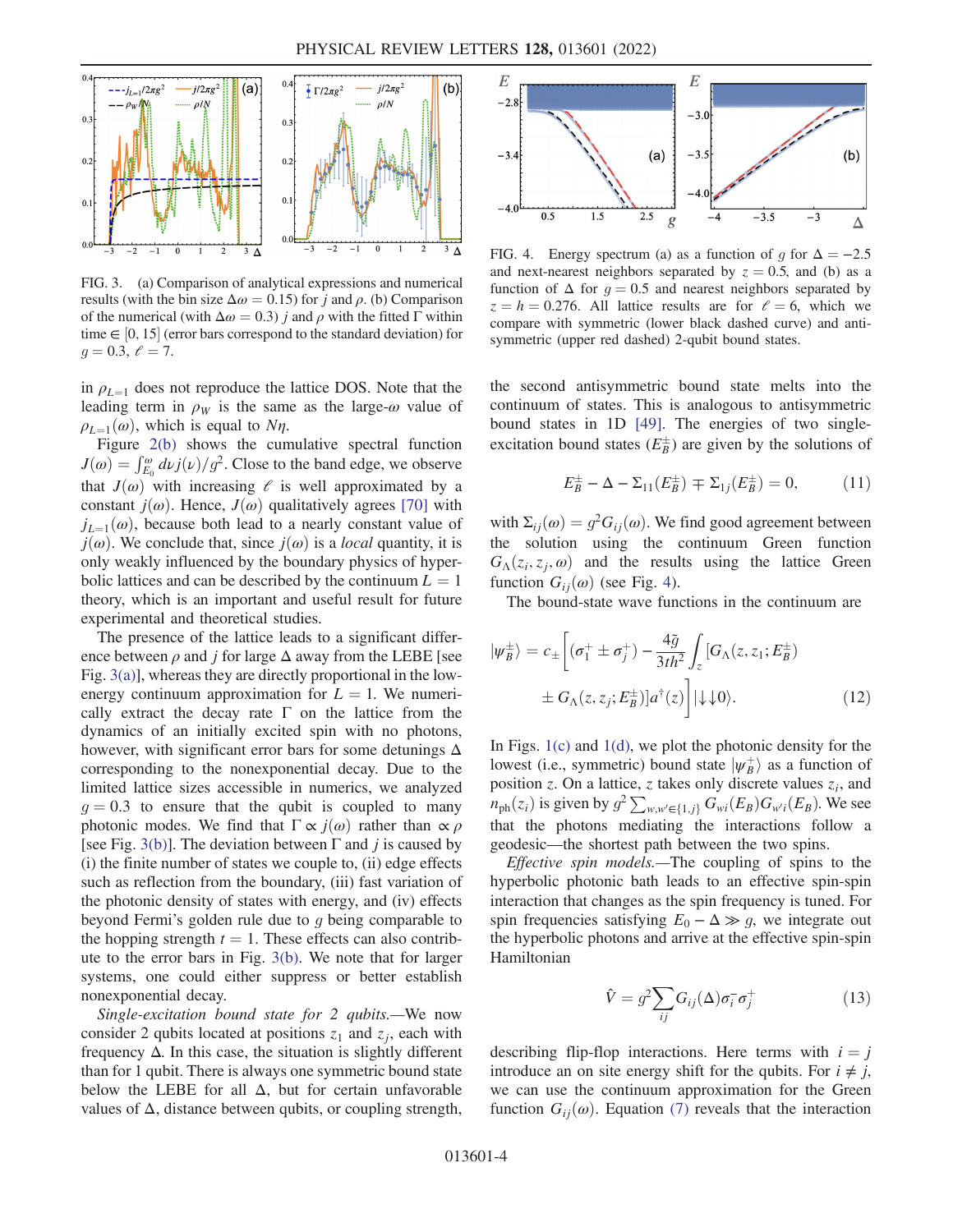<span id="page-3-0"></span>

FIG. 3. (a) Comparison of analytical expressions and numerical results (with the bin size  $\Delta \omega = 0.15$ ) for *j* and  $\rho$ . (b) Comparison of the numerical (with  $\Delta \omega = 0.3$ ) j and  $\rho$  with the fitted Γ within time  $\in [0, 15]$  (error bars correspond to the standard deviation) for  $a = 0, 3, \ell = 7$  $g = 0.3, \ell = 7.$ 

in  $\rho_{L=1}$  does not reproduce the lattice DOS. Note that the leading term in  $\rho_W$  is the same as the large- $\omega$  value of  $\rho_{L=1}(\omega)$ , which is equal to Nη.

Figure [2\(b\)](#page-2-0) shows the cumulative spectral function  $J(\omega) = \int_{E_0}^{\omega} d\nu j(\nu)/g^2$ . Close to the band edge, we observe that  $J(\omega)$  with increasing  $\ell$  is well approximated by a constant  $j(\omega)$ . Hence,  $J(\omega)$  qualitatively agrees [\[70\]](#page-6-16) with  $j_{L=1}(\omega)$ , because both lead to a nearly constant value of  $j(\omega)$ . We conclude that, since  $j(\omega)$  is a *local* quantity, it is only weakly influenced by the boundary physics of hyperbolic lattices and can be described by the continuum  $L = 1$ theory, which is an important and useful result for future experimental and theoretical studies.

The presence of the lattice leads to a significant difference between  $\rho$  and j for large  $\Delta$  away from the LEBE [see Fig. [3\(a\)](#page-3-0)], whereas they are directly proportional in the lowenergy continuum approximation for  $L = 1$ . We numerically extract the decay rate  $\Gamma$  on the lattice from the dynamics of an initially excited spin with no photons, however, with significant error bars for some detunings  $\Delta$ corresponding to the nonexponential decay. Due to the limited lattice sizes accessible in numerics, we analyzed  $g = 0.3$  to ensure that the qubit is coupled to many photonic modes. We find that  $\Gamma \propto j(\omega)$  rather than  $\propto \rho$ [see Fig. [3\(b\)](#page-3-0)]. The deviation between  $\Gamma$  and j is caused by (i) the finite number of states we couple to, (ii) edge effects such as reflection from the boundary, (iii) fast variation of the photonic density of states with energy, and (iv) effects beyond Fermi's golden rule due to  $q$  being comparable to the hopping strength  $t = 1$ . These effects can also contribute to the error bars in Fig. [3\(b\).](#page-3-0) We note that for larger systems, one could either suppress or better establish nonexponential decay.

Single-excitation bound state for 2 qubits.—We now consider 2 qubits located at positions  $z_1$  and  $z_i$ , each with frequency  $\Delta$ . In this case, the situation is slightly different than for 1 qubit. There is always one symmetric bound state below the LEBE for all  $\Delta$ , but for certain unfavorable values of  $\Delta$ , distance between qubits, or coupling strength,

<span id="page-3-1"></span>

FIG. 4. Energy spectrum (a) as a function of g for  $\Delta = -2.5$ and next-nearest neighbors separated by  $z = 0.5$ , and (b) as a function of  $\Delta$  for  $g = 0.5$  and nearest neighbors separated by  $z = h = 0.276$ . All lattice results are for  $\ell = 6$ , which we compare with symmetric (lower black dashed curve) and antisymmetric (upper red dashed) 2-qubit bound states.

the second antisymmetric bound state melts into the continuum of states. This is analogous to antisymmetric bound states in 1D [[49](#page-6-1)]. The energies of two singleexcitation bound states  $(E_B^{\pm})$  are given by the solutions of

$$
E_B^{\pm} - \Delta - \Sigma_{11}(E_B^{\pm}) \mp \Sigma_{1j}(E_B^{\pm}) = 0, \quad (11)
$$

with  $\Sigma_{ii}(\omega) = g^2 G_{ii}(\omega)$ . We find good agreement between the solution using the continuum Green function  $G_{\Lambda}(z_i, z_j, \omega)$  and the results using the lattice Green function  $G_{ii}(\omega)$  (see Fig. [4](#page-3-1)).

The bound-state wave functions in the continuum are

$$
|\psi_B^{\pm}\rangle = c_{\pm} \left[ (\sigma_1^+ \pm \sigma_j^+) - \frac{4\tilde{g}}{3th^2} \int_z \left[ G_{\Lambda}(z, z_1; E_B^{\pm}) \right] \right. \\ \left. \pm G_{\Lambda}(z, z_j; E_B^{\pm}) \right] a^{\dagger}(z) \Bigg] |\downarrow \downarrow 0 \rangle. \tag{12}
$$

In Figs.  $1(c)$  and  $1(d)$ , we plot the photonic density for the lowest (i.e., symmetric) bound state  $|\psi_B^{\dagger}\rangle$  as a function of position z. On a lattice z takes only discrete values z, and position z. On a lattice, z takes only discrete values  $z_i$ , and  $n_{ph}(z_i)$  is given by  $g^2 \sum_{w,w' \in \{1,j\}} G_{wi}(E_B) G_{w'i}(E_B)$ . We see that the photons mediating the interactions follow a geodesic—the shortest path between the two spins.

Effective spin models.—The coupling of spins to the hyperbolic photonic bath leads to an effective spin-spin interaction that changes as the spin frequency is tuned. For spin frequencies satisfying  $E_0 - \Delta \gg g$ , we integrate out the hyperbolic photons and arrive at the effective spin-spin Hamiltonian

$$
\hat{V} = g^2 \sum_{ij} G_{ij}(\Delta) \sigma_i^- \sigma_j^+ \tag{13}
$$

describing flip-flop interactions. Here terms with  $i = j$ introduce an on site energy shift for the qubits. For  $i \neq j$ , we can use the continuum approximation for the Green function  $G_{ij}(\omega)$ . Equation [\(7\)](#page-2-2) reveals that the interaction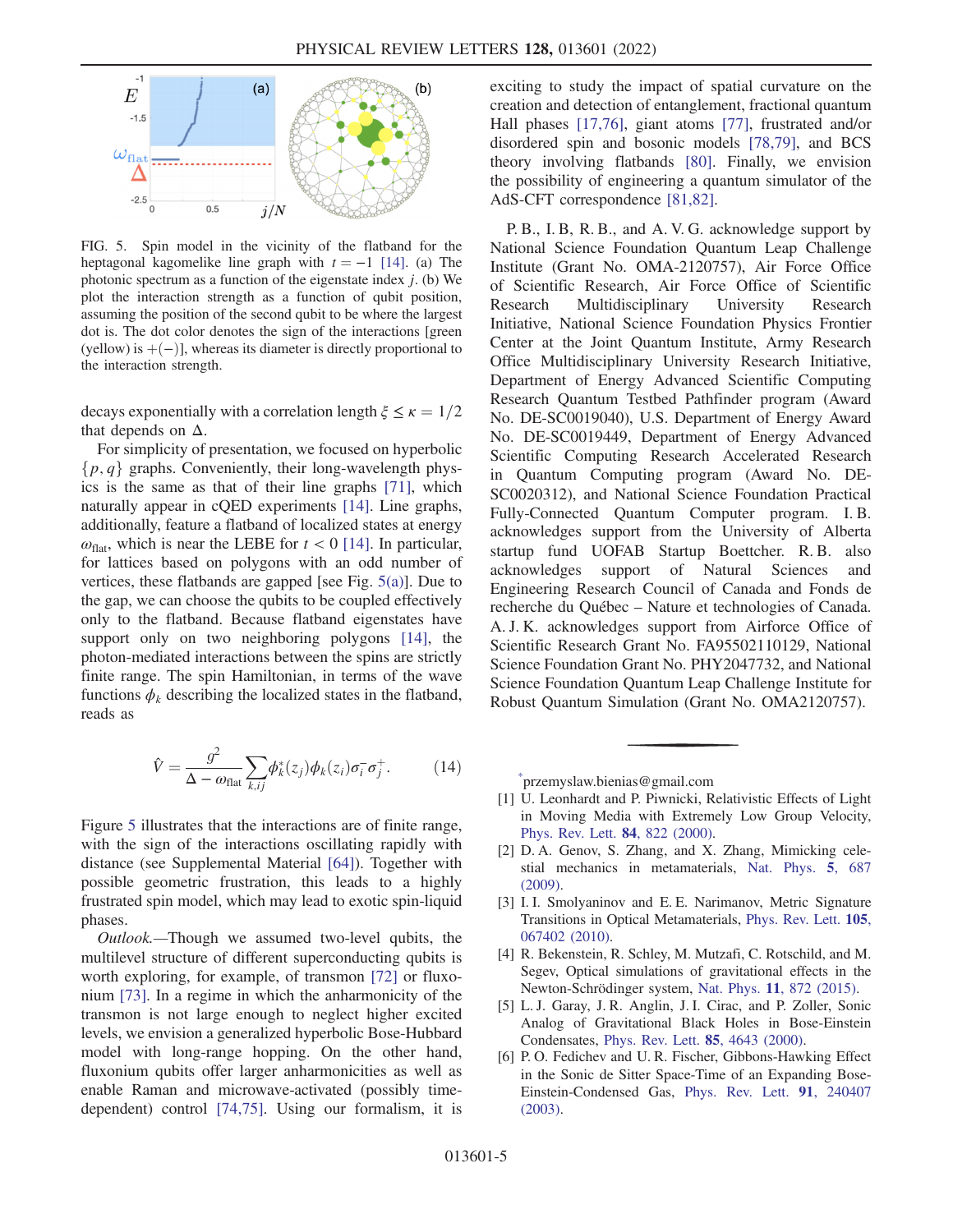<span id="page-4-2"></span>

FIG. 5. Spin model in the vicinity of the flatband for the heptagonal kagomelike line graph with  $t = -1$  [[14](#page-5-3)]. (a) The photonic spectrum as a function of the eigenstate index  $j$ . (b) We plot the interaction strength as a function of qubit position, assuming the position of the second qubit to be where the largest dot is. The dot color denotes the sign of the interactions [green (yellow) is  $+(-)$ ], whereas its diameter is directly proportional to the interaction strength.

decays exponentially with a correlation length  $\xi \le \kappa = 1/2$ that depends on  $\Delta$ .

For simplicity of presentation, we focused on hyperbolic  $\{p, q\}$  graphs. Conveniently, their long-wavelength physics is the same as that of their line graphs [\[71\]](#page-6-17), which naturally appear in cQED experiments [[14](#page-5-3)]. Line graphs, additionally, feature a flatband of localized states at energy  $\omega_{\text{flat}}$ , which is near the LEBE for  $t < 0$  [[14](#page-5-3)]. In particular, for lattices based on polygons with an odd number of vertices, these flatbands are gapped [see Fig. [5\(a\)](#page-4-2)]. Due to the gap, we can choose the qubits to be coupled effectively only to the flatband. Because flatband eigenstates have support only on two neighboring polygons [\[14\]](#page-5-3), the photon-mediated interactions between the spins are strictly finite range. The spin Hamiltonian, in terms of the wave functions  $\phi_k$  describing the localized states in the flatband, reads as

$$
\hat{V} = \frac{g^2}{\Delta - \omega_{\text{flat}}} \sum_{k,ij} \phi_k^*(z_j) \phi_k(z_i) \sigma_i^- \sigma_j^+.
$$
 (14)

Figure [5](#page-4-2) illustrates that the interactions are of finite range, with the sign of the interactions oscillating rapidly with distance (see Supplemental Material [[64\]](#page-6-10)). Together with possible geometric frustration, this leads to a highly frustrated spin model, which may lead to exotic spin-liquid phases.

Outlook.—Though we assumed two-level qubits, the multilevel structure of different superconducting qubits is worth exploring, for example, of transmon [[72](#page-6-18)] or fluxonium [\[73\]](#page-6-19). In a regime in which the anharmonicity of the transmon is not large enough to neglect higher excited levels, we envision a generalized hyperbolic Bose-Hubbard model with long-range hopping. On the other hand, fluxonium qubits offer larger anharmonicities as well as enable Raman and microwave-activated (possibly timedependent) control [\[74,](#page-6-20)[75](#page-6-21)]. Using our formalism, it is exciting to study the impact of spatial curvature on the creation and detection of entanglement, fractional quantum Hall phases [[17](#page-5-13)[,76\]](#page-6-22), giant atoms [\[77\]](#page-6-23), frustrated and/or disordered spin and bosonic models [[78](#page-6-24),[79](#page-6-25)], and BCS theory involving flatbands [[80](#page-6-26)]. Finally, we envision the possibility of engineering a quantum simulator of the AdS-CFT correspondence [[81](#page-6-27)[,82\]](#page-6-28).

P. B., I. B, R. B., and A. V. G. acknowledge support by National Science Foundation Quantum Leap Challenge Institute (Grant No. OMA-2120757), Air Force Office of Scientific Research, Air Force Office of Scientific Research Multidisciplinary University Research Initiative, National Science Foundation Physics Frontier Center at the Joint Quantum Institute, Army Research Office Multidisciplinary University Research Initiative, Department of Energy Advanced Scientific Computing Research Quantum Testbed Pathfinder program (Award No. DE-SC0019040), U.S. Department of Energy Award No. DE-SC0019449, Department of Energy Advanced Scientific Computing Research Accelerated Research in Quantum Computing program (Award No. DE-SC0020312), and National Science Foundation Practical Fully-Connected Quantum Computer program. I. B. acknowledges support from the University of Alberta startup fund UOFAB Startup Boettcher. R. B. also acknowledges support of Natural Sciences and Engineering Research Council of Canada and Fonds de recherche du Québec – Nature et technologies of Canada. A. J. K. acknowledges support from Airforce Office of Scientific Research Grant No. FA95502110129, National Science Foundation Grant No. PHY2047732, and National Science Foundation Quantum Leap Challenge Institute for Robust Quantum Simulation (Grant No. OMA2120757).

<span id="page-4-1"></span><span id="page-4-0"></span>[\\*](#page-0-0) przemyslaw.bienias@gmail.com

- [1] U. Leonhardt and P. Piwnicki, Relativistic Effects of Light in Moving Media with Extremely Low Group Velocity, [Phys. Rev. Lett.](https://doi.org/10.1103/PhysRevLett.84.822) 84, 822 (2000).
- [2] D. A. Genov, S. Zhang, and X. Zhang, Mimicking celestial mechanics in metamaterials, [Nat. Phys.](https://doi.org/10.1038/nphys1338) 5, 687 [\(2009\).](https://doi.org/10.1038/nphys1338)
- [3] I. I. Smolyaninov and E. E. Narimanov, Metric Signature Transitions in Optical Metamaterials, [Phys. Rev. Lett.](https://doi.org/10.1103/PhysRevLett.105.067402) 105, [067402 \(2010\).](https://doi.org/10.1103/PhysRevLett.105.067402)
- [4] R. Bekenstein, R. Schley, M. Mutzafi, C. Rotschild, and M. Segev, Optical simulations of gravitational effects in the Newton-Schrödinger system, Nat. Phys. 11[, 872 \(2015\)](https://doi.org/10.1038/nphys3451).
- [5] L. J. Garay, J. R. Anglin, J. I. Cirac, and P. Zoller, Sonic Analog of Gravitational Black Holes in Bose-Einstein Condensates, [Phys. Rev. Lett.](https://doi.org/10.1103/PhysRevLett.85.4643) 85, 4643 (2000).
- [6] P.O. Fedichev and U.R. Fischer, Gibbons-Hawking Effect in the Sonic de Sitter Space-Time of an Expanding Bose-Einstein-Condensed Gas, [Phys. Rev. Lett.](https://doi.org/10.1103/PhysRevLett.91.240407) 91, 240407 [\(2003\).](https://doi.org/10.1103/PhysRevLett.91.240407)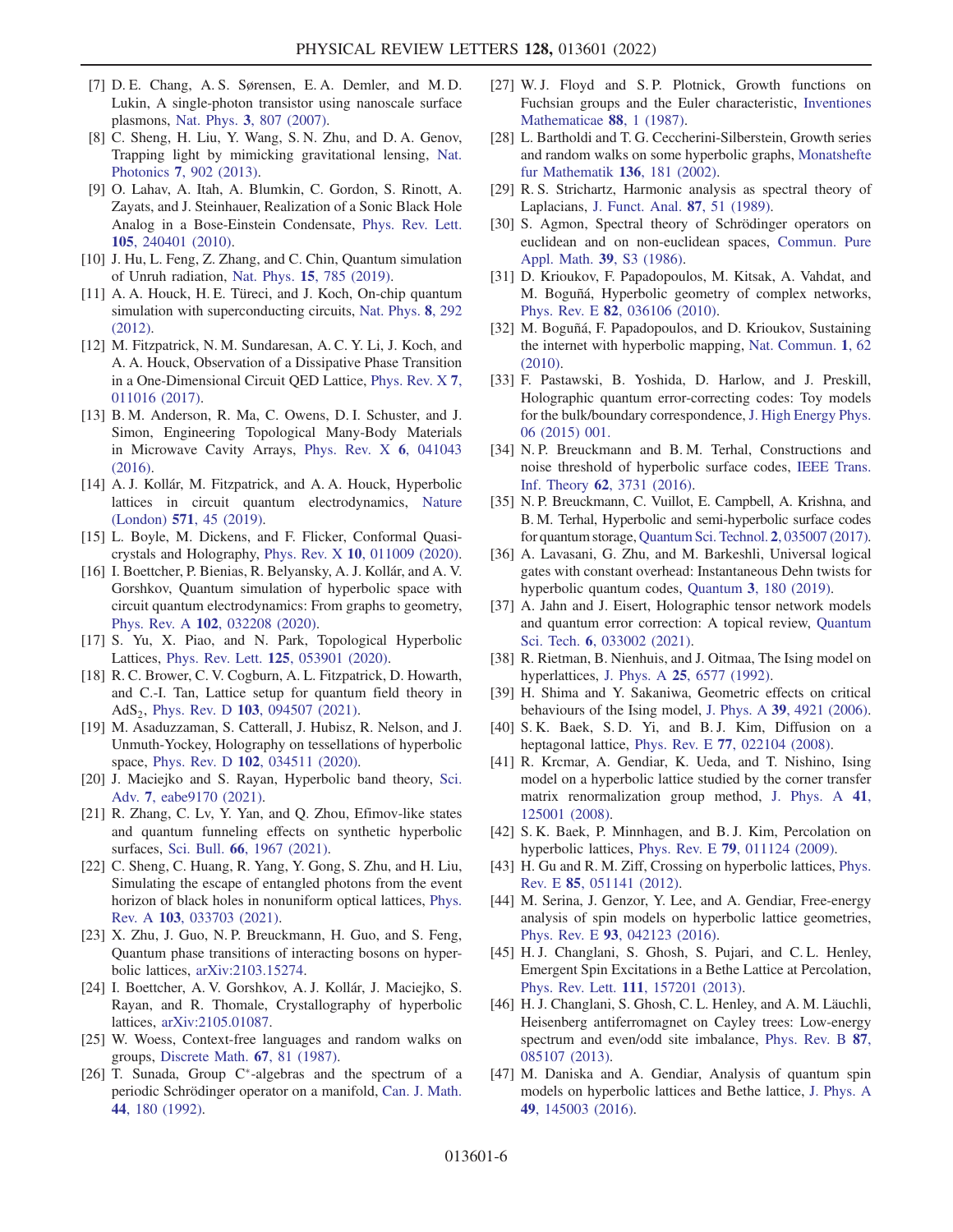- [7] D. E. Chang, A. S. Sørensen, E. A. Demler, and M. D. Lukin, A single-photon transistor using nanoscale surface plasmons, Nat. Phys. 3[, 807 \(2007\).](https://doi.org/10.1038/nphys708)
- [8] C. Sheng, H. Liu, Y. Wang, S. N. Zhu, and D. A. Genov, Trapping light by mimicking gravitational lensing, [Nat.](https://doi.org/10.1038/nphoton.2013.247) Photonics 7[, 902 \(2013\).](https://doi.org/10.1038/nphoton.2013.247)
- [9] O. Lahav, A. Itah, A. Blumkin, C. Gordon, S. Rinott, A. Zayats, and J. Steinhauer, Realization of a Sonic Black Hole Analog in a Bose-Einstein Condensate, [Phys. Rev. Lett.](https://doi.org/10.1103/PhysRevLett.105.240401) 105[, 240401 \(2010\).](https://doi.org/10.1103/PhysRevLett.105.240401)
- <span id="page-5-0"></span>[10] J. Hu, L. Feng, Z. Zhang, and C. Chin, Quantum simulation of Unruh radiation, Nat. Phys. 15[, 785 \(2019\).](https://doi.org/10.1038/s41567-019-0537-1)
- <span id="page-5-1"></span>[11] A. A. Houck, H. E. Türeci, and J. Koch, On-chip quantum simulation with superconducting circuits, [Nat. Phys.](https://doi.org/10.1038/nphys2251) 8, 292 [\(2012\).](https://doi.org/10.1038/nphys2251)
- [12] M. Fitzpatrick, N. M. Sundaresan, A. C. Y. Li, J. Koch, and A. A. Houck, Observation of a Dissipative Phase Transition in a One-Dimensional Circuit QED Lattice, [Phys. Rev. X](https://doi.org/10.1103/PhysRevX.7.011016) 7, [011016 \(2017\).](https://doi.org/10.1103/PhysRevX.7.011016)
- <span id="page-5-2"></span>[13] B. M. Anderson, R. Ma, C. Owens, D. I. Schuster, and J. Simon, Engineering Topological Many-Body Materials in Microwave Cavity Arrays, [Phys. Rev. X](https://doi.org/10.1103/PhysRevX.6.041043) 6, 041043 [\(2016\).](https://doi.org/10.1103/PhysRevX.6.041043)
- <span id="page-5-3"></span>[14] A. J. Kollár, M. Fitzpatrick, and A. A. Houck, Hyperbolic lattices in circuit quantum electrodynamics, [Nature](https://doi.org/10.1038/s41586-019-1348-3) (London) 571[, 45 \(2019\).](https://doi.org/10.1038/s41586-019-1348-3)
- [15] L. Boyle, M. Dickens, and F. Flicker, Conformal Quasicrystals and Holography, Phys. Rev. X 10[, 011009 \(2020\).](https://doi.org/10.1103/PhysRevX.10.011009)
- <span id="page-5-12"></span>[16] I. Boettcher, P. Bienias, R. Belyansky, A. J. Kollár, and A. V. Gorshkov, Quantum simulation of hyperbolic space with circuit quantum electrodynamics: From graphs to geometry, Phys. Rev. A 102[, 032208 \(2020\)](https://doi.org/10.1103/PhysRevA.102.032208).
- <span id="page-5-13"></span>[17] S. Yu, X. Piao, and N. Park, Topological Hyperbolic Lattices, Phys. Rev. Lett. 125[, 053901 \(2020\)](https://doi.org/10.1103/PhysRevLett.125.053901).
- [18] R. C. Brower, C. V. Cogburn, A. L. Fitzpatrick, D. Howarth, and C.-I. Tan, Lattice setup for quantum field theory in AdS<sub>2</sub>, Phys. Rev. D 103[, 094507 \(2021\).](https://doi.org/10.1103/PhysRevD.103.094507)
- [19] M. Asaduzzaman, S. Catterall, J. Hubisz, R. Nelson, and J. Unmuth-Yockey, Holography on tessellations of hyperbolic space, Phys. Rev. D 102[, 034511 \(2020\).](https://doi.org/10.1103/PhysRevD.102.034511)
- [20] J. Maciejko and S. Rayan, Hyperbolic band theory, [Sci.](https://doi.org/10.1126/sciadv.abe9170) Adv. 7[, eabe9170 \(2021\)](https://doi.org/10.1126/sciadv.abe9170).
- [21] R. Zhang, C. Lv, Y. Yan, and Q. Zhou, Efimov-like states and quantum funneling effects on synthetic hyperbolic surfaces, Sci. Bull. 66[, 1967 \(2021\).](https://doi.org/10.1016/j.scib.2021.06.017)
- [22] C. Sheng, C. Huang, R. Yang, Y. Gong, S. Zhu, and H. Liu, Simulating the escape of entangled photons from the event horizon of black holes in nonuniform optical lattices, [Phys.](https://doi.org/10.1103/PhysRevA.103.033703) Rev. A 103[, 033703 \(2021\)](https://doi.org/10.1103/PhysRevA.103.033703).
- [23] X. Zhu, J. Guo, N. P. Breuckmann, H. Guo, and S. Feng, Quantum phase transitions of interacting bosons on hyperbolic lattices, [arXiv:2103.15274](https://arXiv.org/abs/2103.15274).
- <span id="page-5-4"></span>[24] I. Boettcher, A. V. Gorshkov, A. J. Kollár, J. Maciejko, S. Rayan, and R. Thomale, Crystallography of hyperbolic lattices, [arXiv:2105.01087.](https://arXiv.org/abs/2105.01087)
- <span id="page-5-5"></span>[25] W. Woess, Context-free languages and random walks on groups, [Discrete Math.](https://doi.org/10.1016/0012-365x(87)90167-1) 67, 81 (1987).
- [26] T. Sunada, Group  $C^*$ -algebras and the spectrum of a periodic Schrödinger operator on a manifold, [Can. J. Math.](https://doi.org/10.4153/CJM-1992-011-3) 44[, 180 \(1992\).](https://doi.org/10.4153/CJM-1992-011-3)
- [27] W. J. Floyd and S. P. Plotnick, Growth functions on Fuchsian groups and the Euler characteristic, [Inventiones](https://doi.org/10.1007/BF01405088) [Mathematicae](https://doi.org/10.1007/BF01405088) 88, 1 (1987).
- [28] L. Bartholdi and T. G. Ceccherini-Silberstein, Growth series and random walks on some hyperbolic graphs, [Monatshefte](https://doi.org/10.1007/s006050200043) [fur Mathematik](https://doi.org/10.1007/s006050200043) 136, 181 (2002).
- [29] R. S. Strichartz, Harmonic analysis as spectral theory of Laplacians, [J. Funct. Anal.](https://doi.org/10.1016/0022-1236(89)90004-9) 87, 51 (1989).
- [30] S. Agmon, Spectral theory of Schrödinger operators on euclidean and on non-euclidean spaces, [Commun. Pure](https://doi.org/10.1002/cpa.3160390703) [Appl. Math.](https://doi.org/10.1002/cpa.3160390703) 39, S3 (1986).
- [31] D. Krioukov, F. Papadopoulos, M. Kitsak, A. Vahdat, and M. Boguñá, Hyperbolic geometry of complex networks, Phys. Rev. E 82[, 036106 \(2010\)](https://doi.org/10.1103/PhysRevE.82.036106).
- <span id="page-5-6"></span>[32] M. Boguñá, F. Papadopoulos, and D. Krioukov, Sustaining the internet with hyperbolic mapping, [Nat. Commun.](https://doi.org/10.1038/ncomms1063) 1, 62 [\(2010\).](https://doi.org/10.1038/ncomms1063)
- <span id="page-5-7"></span>[33] F. Pastawski, B. Yoshida, D. Harlow, and J. Preskill, Holographic quantum error-correcting codes: Toy models for the bulk/boundary correspondence, [J. High Energy Phys.](https://doi.org/10.1007/JHEP06(2015)149) [06 \(2015\) 001.](https://doi.org/10.1007/JHEP06(2015)149)
- [34] N. P. Breuckmann and B. M. Terhal, Constructions and noise threshold of hyperbolic surface codes, [IEEE Trans.](https://doi.org/10.1109/TIT.2016.2555700) Inf. Theory 62[, 3731 \(2016\).](https://doi.org/10.1109/TIT.2016.2555700)
- [35] N. P. Breuckmann, C. Vuillot, E. Campbell, A. Krishna, and B. M. Terhal, Hyperbolic and semi-hyperbolic surface codes for quantum storage, [Quantum Sci. Technol.](https://doi.org/10.1088/2058-9565/aa7d3b) 2, 035007 (2017).
- [36] A. Lavasani, G. Zhu, and M. Barkeshli, Universal logical gates with constant overhead: Instantaneous Dehn twists for hyperbolic quantum codes, Quantum 3[, 180 \(2019\).](https://doi.org/10.22331/q-2019-08-26-180)
- <span id="page-5-8"></span>[37] A. Jahn and J. Eisert, Holographic tensor network models and quantum error correction: A topical review, [Quantum](https://doi.org/10.1088/2058-9565/ac0293) Sci. Tech. 6[, 033002 \(2021\).](https://doi.org/10.1088/2058-9565/ac0293)
- <span id="page-5-9"></span>[38] R. Rietman, B. Nienhuis, and J. Oitmaa, The Ising model on hyperlattices, J. Phys. A 25[, 6577 \(1992\).](https://doi.org/10.1088/0305-4470/25/24/012)
- [39] H. Shima and Y. Sakaniwa, Geometric effects on critical behaviours of the Ising model, J. Phys. A 39[, 4921 \(2006\).](https://doi.org/10.1088/0305-4470/39/18/010)
- [40] S. K. Baek, S. D. Yi, and B. J. Kim, Diffusion on a heptagonal lattice, Phys. Rev. E 77[, 022104 \(2008\).](https://doi.org/10.1103/PhysRevE.77.022104)
- [41] R. Krcmar, A. Gendiar, K. Ueda, and T. Nishino, Ising model on a hyperbolic lattice studied by the corner transfer matrix renormalization group method, [J. Phys. A](https://doi.org/10.1088/1751-8113/41/12/125001) 41, [125001 \(2008\).](https://doi.org/10.1088/1751-8113/41/12/125001)
- [42] S. K. Baek, P. Minnhagen, and B. J. Kim, Percolation on hyperbolic lattices, Phys. Rev. E 79[, 011124 \(2009\)](https://doi.org/10.1103/PhysRevE.79.011124).
- <span id="page-5-10"></span>[43] H. Gu and R. M. Ziff, Crossing on hyperbolic lattices, [Phys.](https://doi.org/10.1103/PhysRevE.85.051141) Rev. E 85[, 051141 \(2012\)](https://doi.org/10.1103/PhysRevE.85.051141).
- [44] M. Serina, J. Genzor, Y. Lee, and A. Gendiar, Free-energy analysis of spin models on hyperbolic lattice geometries, Phys. Rev. E 93[, 042123 \(2016\)](https://doi.org/10.1103/PhysRevE.93.042123).
- <span id="page-5-11"></span>[45] H. J. Changlani, S. Ghosh, S. Pujari, and C. L. Henley, Emergent Spin Excitations in a Bethe Lattice at Percolation, Phys. Rev. Lett. 111[, 157201 \(2013\).](https://doi.org/10.1103/PhysRevLett.111.157201)
- [46] H. J. Changlani, S. Ghosh, C. L. Henley, and A. M. Läuchli, Heisenberg antiferromagnet on Cayley trees: Low-energy spectrum and even/odd site imbalance, [Phys. Rev. B](https://doi.org/10.1103/PhysRevB.87.085107) 87, [085107 \(2013\).](https://doi.org/10.1103/PhysRevB.87.085107)
- [47] M. Daniska and A. Gendiar, Analysis of quantum spin models on hyperbolic lattices and Bethe lattice, [J. Phys. A](https://doi.org/10.1088/1751-8113/49/14/145003) 49[, 145003 \(2016\).](https://doi.org/10.1088/1751-8113/49/14/145003)